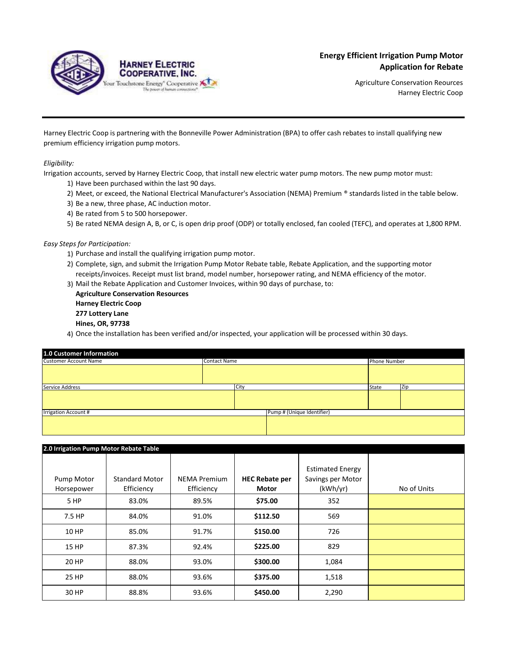

Agriculture Conservation Reources Harney Electric Coop

Harney Electric Coop is partnering with the Bonneville Power Administration (BPA) to offer cash rebates to install qualifying new premium efficiency irrigation pump motors.

## *Eligibility:*

Irrigation accounts, served by Harney Electric Coop, that install new electric water pump motors. The new pump motor must:

- 1) Have been purchased within the last 90 days.
- 2) Meet, or exceed, the National Electrical Manufacturer's Association (NEMA) Premium ® standards listed in the table below.
- 3) Be a new, three phase, AC induction motor.
- 4) Be rated from 5 to 500 horsepower.
- 5) Be rated NEMA design A, B, or C, is open drip proof (ODP) or totally enclosed, fan cooled (TEFC), and operates at 1,800 RPM.

## *Easy Steps for Participation:*

- 1) Purchase and install the qualifying irrigation pump motor.
- 2) Complete, sign, and submit the Irrigation Pump Motor Rebate table, Rebate Application, and the supporting motor receipts/invoices. Receipt must list brand, model number, horsepower rating, and NEMA efficiency of the motor.
- 3) Mail the Rebate Application and Customer Invoices, within 90 days of purchase, to:

**Agriculture Conservation Resources Harney Electric Coop 277 Lottery Lane**

- **Hines, OR, 97738**
- 4) Once the installation has been verified and/or inspected, your application will be processed within 30 days.

| <b>1.0 Customer Information</b> |                     |      |                            |       |              |     |
|---------------------------------|---------------------|------|----------------------------|-------|--------------|-----|
| <b>Customer Account Name</b>    | <b>Contact Name</b> |      |                            |       | Phone Number |     |
|                                 |                     |      |                            |       |              |     |
| Service Address                 |                     | City |                            | State |              | Zip |
|                                 |                     |      |                            |       |              |     |
| <b>Irrigation Account #</b>     |                     |      | Pump # (Unique Identifier) |       |              |     |
|                                 |                     |      |                            |       |              |     |

| 2.0 Irrigation Pump Motor Rebate Table |                                     |                                   |                                       |                                                          |             |
|----------------------------------------|-------------------------------------|-----------------------------------|---------------------------------------|----------------------------------------------------------|-------------|
| Pump Motor<br>Horsepower               | <b>Standard Motor</b><br>Efficiency | <b>NEMA Premium</b><br>Efficiency | <b>HEC Rebate per</b><br><b>Motor</b> | <b>Estimated Energy</b><br>Savings per Motor<br>(kWh/yr) | No of Units |
| 5 HP                                   | 83.0%                               | 89.5%                             | \$75.00                               | 352                                                      |             |
| 7.5 HP                                 | 84.0%                               | 91.0%                             | \$112.50                              | 569                                                      |             |
| 10 HP                                  | 85.0%                               | 91.7%                             | \$150.00                              | 726                                                      |             |
| <b>15 HP</b>                           | 87.3%                               | 92.4%                             | \$225.00                              | 829                                                      |             |
| 20 HP                                  | 88.0%                               | 93.0%                             | \$300.00                              | 1,084                                                    |             |
| 25 HP                                  | 88.0%                               | 93.6%                             | \$375.00                              | 1,518                                                    |             |
| 30 HP                                  | 88.8%                               | 93.6%                             | \$450.00                              | 2,290                                                    |             |
|                                        |                                     |                                   |                                       |                                                          |             |